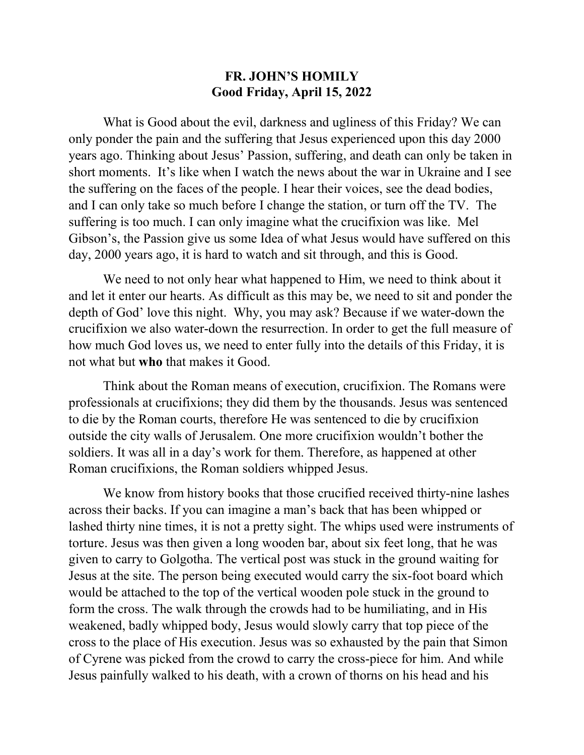## **FR. JOHN'S HOMILY Good Friday, April 15, 2022**

What is Good about the evil, darkness and ugliness of this Friday? We can only ponder the pain and the suffering that Jesus experienced upon this day 2000 years ago. Thinking about Jesus' Passion, suffering, and death can only be taken in short moments. It's like when I watch the news about the war in Ukraine and I see the suffering on the faces of the people. I hear their voices, see the dead bodies, and I can only take so much before I change the station, or turn off the TV. The suffering is too much. I can only imagine what the crucifixion was like. Mel Gibson's, the Passion give us some Idea of what Jesus would have suffered on this day, 2000 years ago, it is hard to watch and sit through, and this is Good.

We need to not only hear what happened to Him, we need to think about it and let it enter our hearts. As difficult as this may be, we need to sit and ponder the depth of God' love this night. Why, you may ask? Because if we water-down the crucifixion we also water-down the resurrection. In order to get the full measure of how much God loves us, we need to enter fully into the details of this Friday, it is not what but **who** that makes it Good.

Think about the Roman means of execution, crucifixion. The Romans were professionals at crucifixions; they did them by the thousands. Jesus was sentenced to die by the Roman courts, therefore He was sentenced to die by crucifixion outside the city walls of Jerusalem. One more crucifixion wouldn't bother the soldiers. It was all in a day's work for them. Therefore, as happened at other Roman crucifixions, the Roman soldiers whipped Jesus.

We know from history books that those crucified received thirty-nine lashes across their backs. If you can imagine a man's back that has been whipped or lashed thirty nine times, it is not a pretty sight. The whips used were instruments of torture. Jesus was then given a long wooden bar, about six feet long, that he was given to carry to Golgotha. The vertical post was stuck in the ground waiting for Jesus at the site. The person being executed would carry the six-foot board which would be attached to the top of the vertical wooden pole stuck in the ground to form the cross. The walk through the crowds had to be humiliating, and in His weakened, badly whipped body, Jesus would slowly carry that top piece of the cross to the place of His execution. Jesus was so exhausted by the pain that Simon of Cyrene was picked from the crowd to carry the cross-piece for him. And while Jesus painfully walked to his death, with a crown of thorns on his head and his